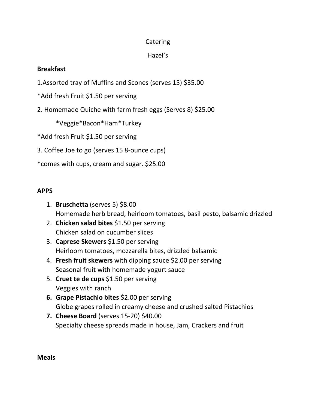## Catering

# Hazel's

## **Breakfast**

- 1.Assorted tray of Muffins and Scones (serves 15) \$35.00
- \*Add fresh Fruit \$1.50 per serving
- 2. Homemade Quiche with farm fresh eggs (Serves 8) \$25.00

\*Veggie\*Bacon\*Ham\*Turkey

\*Add fresh Fruit \$1.50 per serving

3. Coffee Joe to go (serves 15 8-ounce cups)

\*comes with cups, cream and sugar. \$25.00

# **APPS**

- 1. **Bruschetta** (serves 5) \$8.00 Homemade herb bread, heirloom tomatoes, basil pesto, balsamic drizzled
- 2. **Chicken salad bites** \$1.50 per serving Chicken salad on cucumber slices
- 3. **Caprese Skewers** \$1.50 per serving Heirloom tomatoes, mozzarella bites, drizzled balsamic
- 4. **Fresh fruit skewers** with dipping sauce \$2.00 per serving Seasonal fruit with homemade yogurt sauce
- 5. **Cruet te de cups** \$1.50 per serving Veggies with ranch
- **6. Grape Pistachio bites** \$2.00 per serving Globe grapes rolled in creamy cheese and crushed salted Pistachios
- **7. Cheese Board** (serves 15-20) \$40.00 Specialty cheese spreads made in house, Jam, Crackers and fruit

#### **Meals**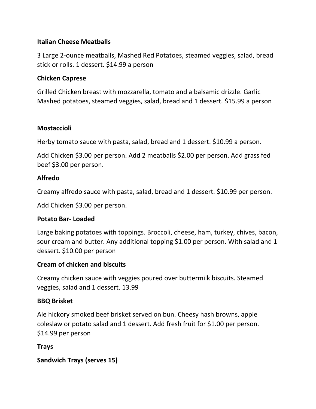#### **Italian Cheese Meatballs**

3 Large 2-ounce meatballs, Mashed Red Potatoes, steamed veggies, salad, bread stick or rolls. 1 dessert. \$14.99 a person

#### **Chicken Caprese**

Grilled Chicken breast with mozzarella, tomato and a balsamic drizzle. Garlic Mashed potatoes, steamed veggies, salad, bread and 1 dessert. \$15.99 a person

#### **Mostaccioli**

Herby tomato sauce with pasta, salad, bread and 1 dessert. \$10.99 a person.

Add Chicken \$3.00 per person. Add 2 meatballs \$2.00 per person. Add grass fed beef \$3.00 per person.

#### **Alfredo**

Creamy alfredo sauce with pasta, salad, bread and 1 dessert. \$10.99 per person.

Add Chicken \$3.00 per person.

#### **Potato Bar- Loaded**

Large baking potatoes with toppings. Broccoli, cheese, ham, turkey, chives, bacon, sour cream and butter. Any additional topping \$1.00 per person. With salad and 1 dessert. \$10.00 per person

#### **Cream of chicken and biscuits**

Creamy chicken sauce with veggies poured over buttermilk biscuits. Steamed veggies, salad and 1 dessert. 13.99

#### **BBQ Brisket**

Ale hickory smoked beef brisket served on bun. Cheesy hash browns, apple coleslaw or potato salad and 1 dessert. Add fresh fruit for \$1.00 per person. \$14.99 per person

## **Trays**

**Sandwich Trays (serves 15)**